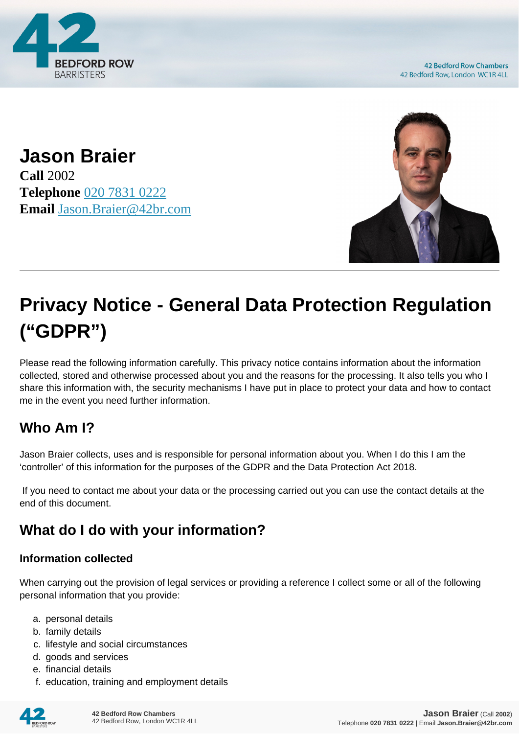

**42 Bedford Row Chambers** 42 Bedford Row, London WC1R 4LL

**Jason Braier Call** 2002 **Telephone** [020 7831 0222](https://pdf.codeshore.co/_42br/tel:020 7831 0222) **Email** [Jason.Braier@42br.com](mailto:Jason.Braier@42br.com)



# **Privacy Notice - General Data Protection Regulation ("GDPR")**

Please read the following information carefully. This privacy notice contains information about the information collected, stored and otherwise processed about you and the reasons for the processing. It also tells you who I share this information with, the security mechanisms I have put in place to protect your data and how to contact me in the event you need further information.

# **Who Am I?**

Jason Braier collects, uses and is responsible for personal information about you. When I do this I am the 'controller' of this information for the purposes of the GDPR and the Data Protection Act 2018.

 If you need to contact me about your data or the processing carried out you can use the contact details at the end of this document.

# **What do I do with your information?**

#### **Information collected**

When carrying out the provision of legal services or providing a reference I collect some or all of the following personal information that you provide:

- a. personal details
- b. family details
- c. lifestyle and social circumstances
- d. goods and services
- e. financial details
- f. education, training and employment details

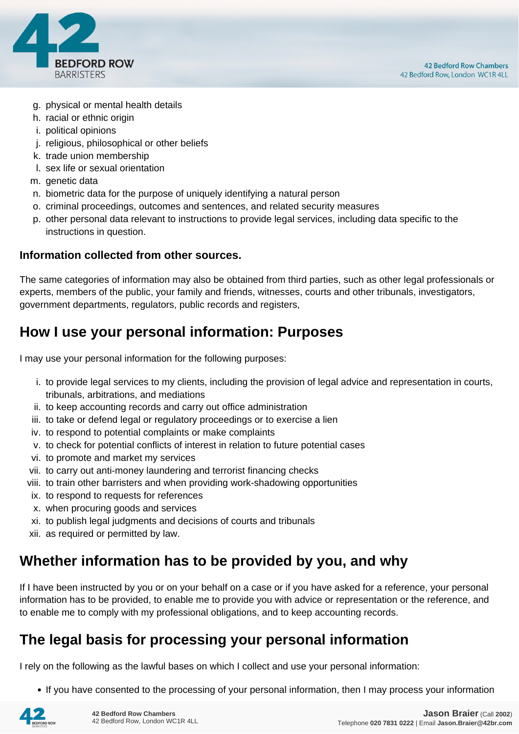

- g. physical or mental health details
- h. racial or ethnic origin
- i. political opinions
- j. religious, philosophical or other beliefs
- k. trade union membership
- l. sex life or sexual orientation
- m. genetic data
- n. biometric data for the purpose of uniquely identifying a natural person
- o. criminal proceedings, outcomes and sentences, and related security measures
- p. other personal data relevant to instructions to provide legal services, including data specific to the instructions in question.

#### **Information collected from other sources.**

The same categories of information may also be obtained from third parties, such as other legal professionals or experts, members of the public, your family and friends, witnesses, courts and other tribunals, investigators, government departments, regulators, public records and registers,

### **How I use your personal information: Purposes**

I may use your personal information for the following purposes:

- i. to provide legal services to my clients, including the provision of legal advice and representation in courts, tribunals, arbitrations, and mediations
- ii. to keep accounting records and carry out office administration
- iii. to take or defend legal or regulatory proceedings or to exercise a lien
- iv. to respond to potential complaints or make complaints
- v. to check for potential conflicts of interest in relation to future potential cases
- vi. to promote and market my services
- vii. to carry out anti-money laundering and terrorist financing checks
- viii. to train other barristers and when providing work-shadowing opportunities
- ix. to respond to requests for references
- x. when procuring goods and services
- xi. to publish legal judgments and decisions of courts and tribunals
- xii. as required or permitted by law.

### **Whether information has to be provided by you, and why**

If I have been instructed by you or on your behalf on a case or if you have asked for a reference, your personal information has to be provided, to enable me to provide you with advice or representation or the reference, and to enable me to comply with my professional obligations, and to keep accounting records.

### **The legal basis for processing your personal information**

I rely on the following as the lawful bases on which I collect and use your personal information:

• If you have consented to the processing of your personal information, then I may process your information

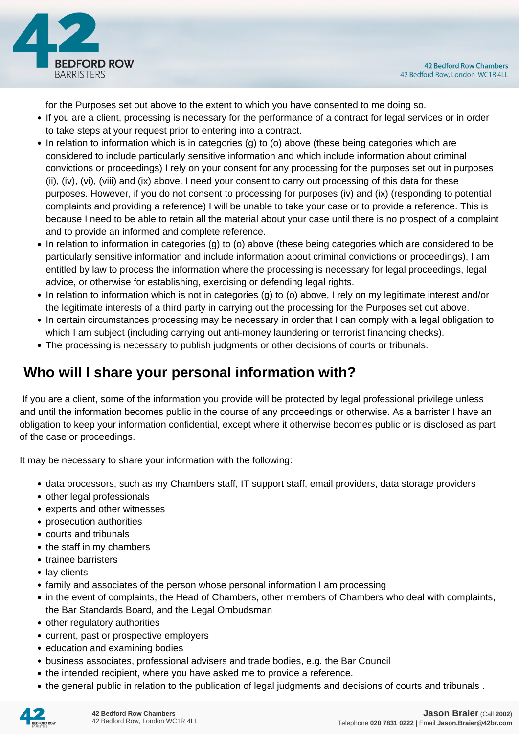

for the Purposes set out above to the extent to which you have consented to me doing so.

- If you are a client, processing is necessary for the performance of a contract for legal services or in order to take steps at your request prior to entering into a contract.
- In relation to information which is in categories (g) to (o) above (these being categories which are considered to include particularly sensitive information and which include information about criminal convictions or proceedings) I rely on your consent for any processing for the purposes set out in purposes (ii), (iv), (vi), (viii) and (ix) above. I need your consent to carry out processing of this data for these purposes. However, if you do not consent to processing for purposes (iv) and (ix) (responding to potential complaints and providing a reference) I will be unable to take your case or to provide a reference. This is because I need to be able to retain all the material about your case until there is no prospect of a complaint and to provide an informed and complete reference.
- In relation to information in categories (g) to (o) above (these being categories which are considered to be particularly sensitive information and include information about criminal convictions or proceedings), I am entitled by law to process the information where the processing is necessary for legal proceedings, legal advice, or otherwise for establishing, exercising or defending legal rights.
- In relation to information which is not in categories (g) to (o) above, I rely on my legitimate interest and/or the legitimate interests of a third party in carrying out the processing for the Purposes set out above.
- In certain circumstances processing may be necessary in order that I can comply with a legal obligation to which I am subject (including carrying out anti-money laundering or terrorist financing checks).
- The processing is necessary to publish judgments or other decisions of courts or tribunals.

# **Who will I share your personal information with?**

 If you are a client, some of the information you provide will be protected by legal professional privilege unless and until the information becomes public in the course of any proceedings or otherwise. As a barrister I have an obligation to keep your information confidential, except where it otherwise becomes public or is disclosed as part of the case or proceedings.

It may be necessary to share your information with the following:

- data processors, such as my Chambers staff, IT support staff, email providers, data storage providers
- other legal professionals
- experts and other witnesses
- prosecution authorities
- courts and tribunals
- the staff in my chambers
- trainee barristers
- lay clients
- family and associates of the person whose personal information I am processing
- in the event of complaints, the Head of Chambers, other members of Chambers who deal with complaints, the Bar Standards Board, and the Legal Ombudsman
- other regulatory authorities
- current, past or prospective employers
- education and examining bodies
- business associates, professional advisers and trade bodies, e.g. the Bar Council
- the intended recipient, where you have asked me to provide a reference.
- the general public in relation to the publication of legal judgments and decisions of courts and tribunals .

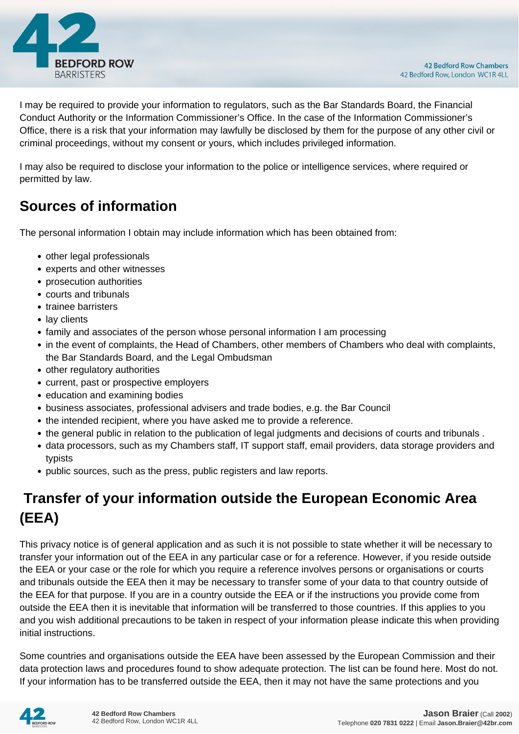

I may be required to provide your information to regulators, such as the Bar Standards Board, the Financial Conduct Authority or the Information Commissioner's Office. In the case of the Information Commissioner's Office, there is a risk that your information may lawfully be disclosed by them for the purpose of any other civil or criminal proceedings, without my consent or yours, which includes privileged information.

I may also be required to disclose your information to the police or intelligence services, where required or permitted by law.

# **Sources of information**

The personal information I obtain may include information which has been obtained from:

- other legal professionals
- experts and other witnesses
- prosecution authorities
- courts and tribunals
- trainee barristers
- lay clients
- family and associates of the person whose personal information I am processing
- in the event of complaints, the Head of Chambers, other members of Chambers who deal with complaints, the Bar Standards Board, and the Legal Ombudsman
- other regulatory authorities
- current, past or prospective employers
- education and examining bodies
- business associates, professional advisers and trade bodies, e.g. the Bar Council
- the intended recipient, where you have asked me to provide a reference.
- the general public in relation to the publication of legal judgments and decisions of courts and tribunals .
- data processors, such as my Chambers staff, IT support staff, email providers, data storage providers and typists
- public sources, such as the press, public registers and law reports.

# **Transfer of your information outside the European Economic Area (EEA)**

This privacy notice is of general application and as such it is not possible to state whether it will be necessary to transfer your information out of the EEA in any particular case or for a reference. However, if you reside outside the EEA or your case or the role for which you require a reference involves persons or organisations or courts and tribunals outside the EEA then it may be necessary to transfer some of your data to that country outside of the EEA for that purpose. If you are in a country outside the EEA or if the instructions you provide come from outside the EEA then it is inevitable that information will be transferred to those countries. If this applies to you and you wish additional precautions to be taken in respect of your information please indicate this when providing initial instructions.

Some countries and organisations outside the EEA have been assessed by the European Commission and their data protection laws and procedures found to show adequate protection. The list can be found here. Most do not. If your information has to be transferred outside the EEA, then it may not have the same protections and you

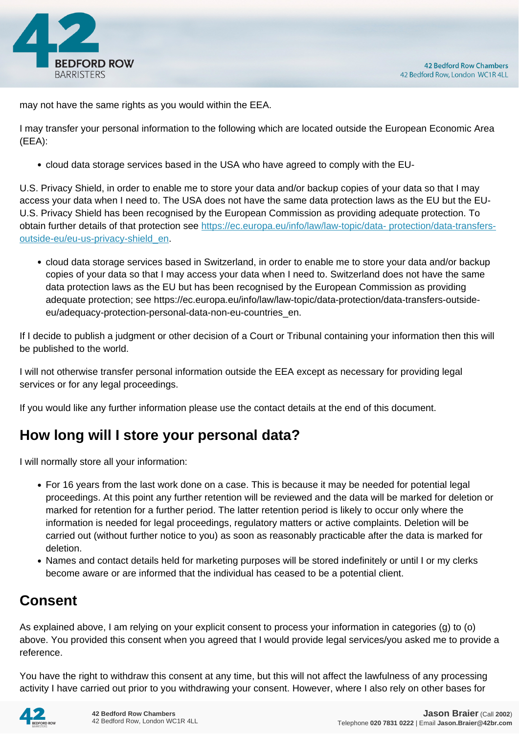

may not have the same rights as you would within the EEA.

I may transfer your personal information to the following which are located outside the European Economic Area (EEA):

cloud data storage services based in the USA who have agreed to comply with the EU-

U.S. Privacy Shield, in order to enable me to store your data and/or backup copies of your data so that I may access your data when I need to. The USA does not have the same data protection laws as the EU but the EU-U.S. Privacy Shield has been recognised by the European Commission as providing adequate protection. To obtain further details of that protection see [https://ec.europa.eu/info/law/law-topic/data- protection/data-transfers](https://ec.europa.eu/info/law/law-topic/data- protection/data-transfers-outside-eu/eu-us-privacy-shield_en)[outside-eu/eu-us-privacy-shield\\_en.](https://ec.europa.eu/info/law/law-topic/data- protection/data-transfers-outside-eu/eu-us-privacy-shield_en)

cloud data storage services based in Switzerland, in order to enable me to store your data and/or backup copies of your data so that I may access your data when I need to. Switzerland does not have the same data protection laws as the EU but has been recognised by the European Commission as providing adequate protection; see https://ec.europa.eu/info/law/law-topic/data-protection/data-transfers-outsideeu/adequacy-protection-personal-data-non-eu-countries\_en.

If I decide to publish a judgment or other decision of a Court or Tribunal containing your information then this will be published to the world.

I will not otherwise transfer personal information outside the EEA except as necessary for providing legal services or for any legal proceedings.

If you would like any further information please use the contact details at the end of this document.

# **How long will I store your personal data?**

I will normally store all your information:

- For 16 years from the last work done on a case. This is because it may be needed for potential legal proceedings. At this point any further retention will be reviewed and the data will be marked for deletion or marked for retention for a further period. The latter retention period is likely to occur only where the information is needed for legal proceedings, regulatory matters or active complaints. Deletion will be carried out (without further notice to you) as soon as reasonably practicable after the data is marked for deletion.
- Names and contact details held for marketing purposes will be stored indefinitely or until I or my clerks become aware or are informed that the individual has ceased to be a potential client.

# **Consent**

As explained above, I am relying on your explicit consent to process your information in categories (g) to (o) above. You provided this consent when you agreed that I would provide legal services/you asked me to provide a reference.

You have the right to withdraw this consent at any time, but this will not affect the lawfulness of any processing activity I have carried out prior to you withdrawing your consent. However, where I also rely on other bases for

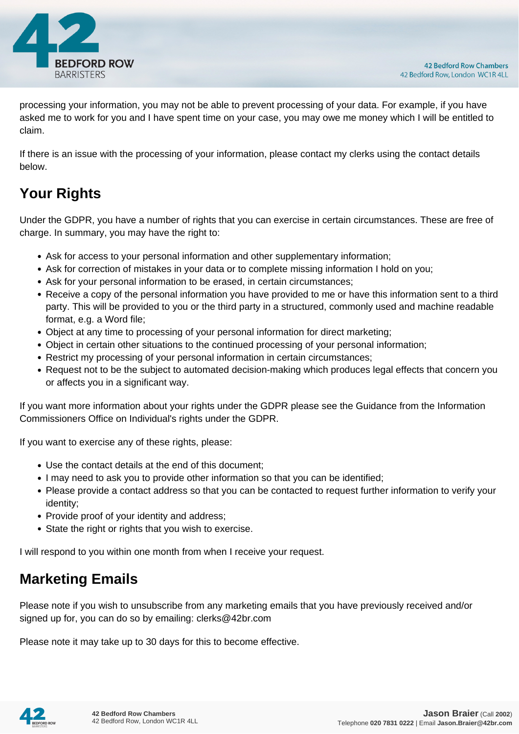

processing your information, you may not be able to prevent processing of your data. For example, if you have asked me to work for you and I have spent time on your case, you may owe me money which I will be entitled to claim.

If there is an issue with the processing of your information, please contact my clerks using the contact details below.

# **Your Rights**

Under the GDPR, you have a number of rights that you can exercise in certain circumstances. These are free of charge. In summary, you may have the right to:

- Ask for access to your personal information and other supplementary information;
- Ask for correction of mistakes in your data or to complete missing information I hold on you;
- Ask for your personal information to be erased, in certain circumstances;
- Receive a copy of the personal information you have provided to me or have this information sent to a third party. This will be provided to you or the third party in a structured, commonly used and machine readable format, e.g. a Word file;
- Object at any time to processing of your personal information for direct marketing;
- Object in certain other situations to the continued processing of your personal information;
- Restrict my processing of your personal information in certain circumstances;
- Request not to be the subject to automated decision-making which produces legal effects that concern you or affects you in a significant way.

If you want more information about your rights under the GDPR please see the Guidance from the Information Commissioners Office on Individual's rights under the GDPR.

If you want to exercise any of these rights, please:

- Use the contact details at the end of this document;
- I may need to ask you to provide other information so that you can be identified;
- Please provide a contact address so that you can be contacted to request further information to verify your identity;
- Provide proof of your identity and address;
- State the right or rights that you wish to exercise.

I will respond to you within one month from when I receive your request.

### **Marketing Emails**

Please note if you wish to unsubscribe from any marketing emails that you have previously received and/or signed up for, you can do so by emailing: clerks@42br.com

Please note it may take up to 30 days for this to become effective.